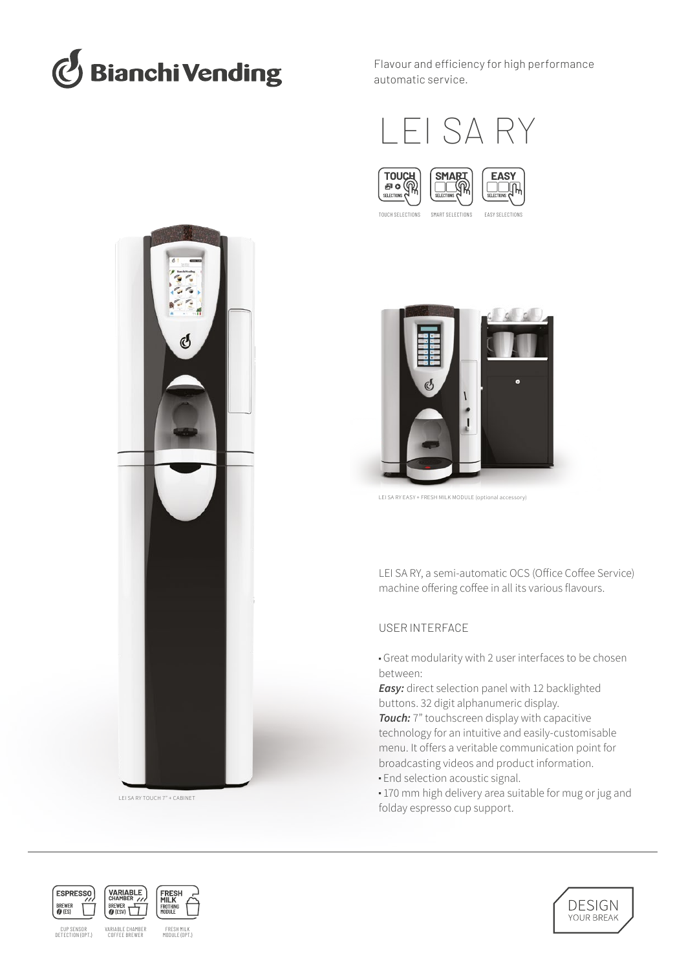

Flavour and efficiency for high performance automatic service.





TOUCH SELECTIONS SMART SELECTIONS EASY SELECTIONS



LEI SA RY EASY + FRESH MILK MODULE (optional accessory)

LEI SA RY, a semi-automatic OCS (Office Coffee Service) machine offering coffee in all its various flavours.

# USER INTERFACE

■ Great modularity with 2 user interfaces to be chosen between:

*Easy:* direct selection panel with 12 backlighted buttons. 32 digit alphanumeric display.

*Touch:* 7" touchscreen display with capacitive technology for an intuitive and easily-customisable menu. It offers a veritable communication point for broadcasting videos and product information. **End selection acoustic signal.** 

■ 170 mm high delivery area suitable for mug or jug and folday espresso cup support.





CUP SENSOR<br>DETECTION (OPT.)

DETECTION (OPT.) FRESH MILK MODULE (OPT.) VARIABLE CHAMBER COFFEE BREWER